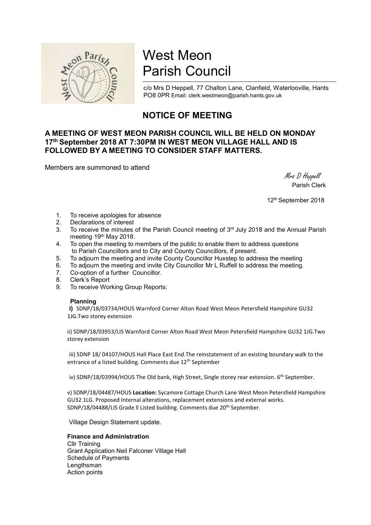

# West Meon Parish Council

c/o Mrs D Heppell, 77 Chalton Lane, Clanfield, Waterlooville, Hants PO8 0PR Email: clerk.westmeon@parish.hants.gov.uk

# NOTICE OF MEETING

## A MEETING OF WEST MEON PARISH COUNCIL WILL BE HELD ON MONDAY 17th September 2018 AT 7:30PM IN WEST MEON VILLAGE HALL AND IS FOLLOWED BY A MEETING TO CONSIDER STAFF MATTERS.

Members are summoned to attend

 Mrs D Heppell Parish Clerk

12th September 2018

- 1. To receive apologies for absence
- 2. Declarations of interest
- 3. To receive the minutes of the Parish Council meeting of 3<sup>rd</sup> July 2018 and the Annual Parish meeting 19th May 2018.
- 4. To open the meeting to members of the public to enable them to address questions to Parish Councillors and to City and County Councillors, if present.
- 5. To adjourn the meeting and invite County Councillor Huxstep to address the meeting
- 6. To adjourn the meeting and invite City Councillor Mr L Ruffell to address the meeting.
- 7. Co-option of a further Councillor.
- 8. Clerk's Report
- 9. To receive Working Group Reports:

### Planning

i) SDNP/18/03734/HOUS Warnford Corner Alton Road West Meon Petersfield Hampshire GU32 1JG.Two storey extension

ii) SDNP/18/03953/LIS Warnford Corner Alton Road West Meon Petersfield Hampshire GU32 1JG.Two storey extension

iii) SDNP 18/ 04107/HOUS Hall Place East End.The reinstatement of an existing boundary walk to the entrance of a listed building. Comments due 12<sup>th</sup> September

iv) SDNP/18/03994/HOUS The Old bank, High Street, Single storey rear extension. 6<sup>th</sup> September.

v) SDNP/18/04487/HOUS Location: Sycamore Cottage Church Lane West Meon Petersfield Hampshire GU32 1LG. Proposed Internal alterations, replacement extensions and external works. SDNP/18/04488/LIS Grade ll Listed building. Comments due 20th September.

Village Design Statement update.

#### Finance and Administration

Cllr Training Grant Application Neil Falconer Village Hall Schedule of Payments Lengthsman Action points